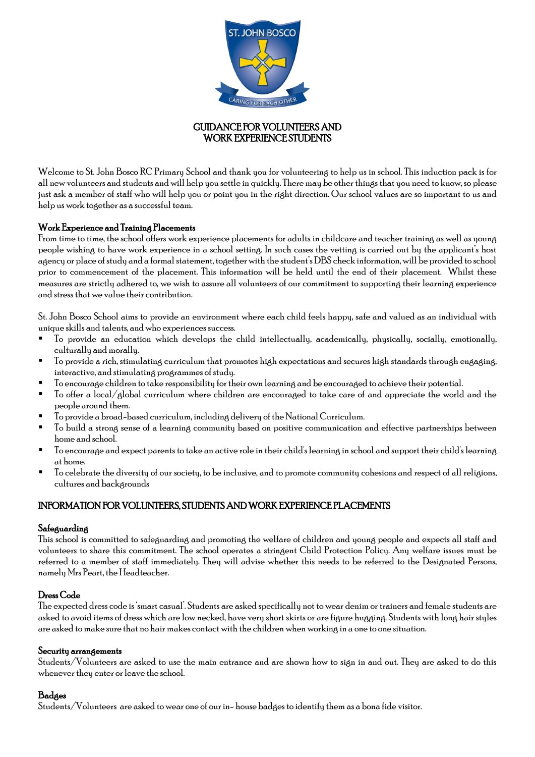

## GUIDANCE FOR VOLUNTEERS AND WORK EXPERIENCE STUDENTS

Welcome to St. John Bosco RC Primary School and thank you for volunteering to help us in school. This induction pack is for all new volunteers and students and will help you settle in quickly. There may be other things that you need to know, so please just ask a member of staff who will help you or point you in the right direction. Our school values are so important to us and help us work together as a successful team.

# Work Experience and Training Placements

From time to time, the school offers work experience placements for adults in childcare and teacher training as well as young people wishing to have work experience in a school setting. In such cases the vetting is carried out by the applicant's host agency or place of study and a formal statement, together with the student's DBS check information, will be provided to school prior to commencement of the placement. This information will be held until the end of their placement. Whilst these measures are strictly adhered to, we wish to assure all volunteers of our commitment to supporting their learning experience and stress that we value their contribution.

St. John Bosco School aims to provide an environment where each child feels happy, safe and valued as an individual with unique skills and talents, and who experiences success.

- To provide an education which develops the child intellectually, academically, physically, socially, emotionally, culturally and morally.
- To provide a rich, stimulating curriculum that promotes high expectations and secures high standards through engaging, interactive, and stimulating programmes of study.
- To encourage children to take responsibility for their own learning and be encouraged to achieve their potential.
- To offer a local/global curriculum where children are encouraged to take care of and appreciate the world and the people around them.
- To provide a broad-based curriculum, including delivery of the National Curriculum.
- To build a strong sense of a learning community based on positive communication and effective partnerships between home and school.
- To encourage and expect parents to take an active role in their child's learning in school and support their child's learning at home.
- To celebrate the diversity of our society, to be inclusive, and to promote community cohesions and respect of all religions, cultures and backgrounds

# INFORMATION FOR VOLUNTEERS, STUDENTS AND WORK EXPERIENCE PLACEMENTS

## Safeguarding

This school is committed to safeguarding and promoting the welfare of children and young people and expects all staff and volunteers to share this commitment. The school operates a stringent Child Protection Policy. Any welfare issues must be referred to a member of staff immediately. They will advise whether this needs to be referred to the Designated Persons, namely Mrs Peart, the Headteacher.

## Dress Code

The expected dress code is 'smart casual'. Students are asked specifically not to wear denim or trainers and female students are asked to avoid items of dress which are low necked, have very short skirts or are figure hugging. Students with long hair styles are asked to make sure that no hair makes contact with the children when working in a one to one situation.

## Security arrangements

Students/Volunteers are asked to use the main entrance and are shown how to sign in and out. They are asked to do this whenever they enter or leave the school.

## **Bad**ges

Students/Volunteers are asked to wear one of our in- house badges to identify them as a bona fide visitor.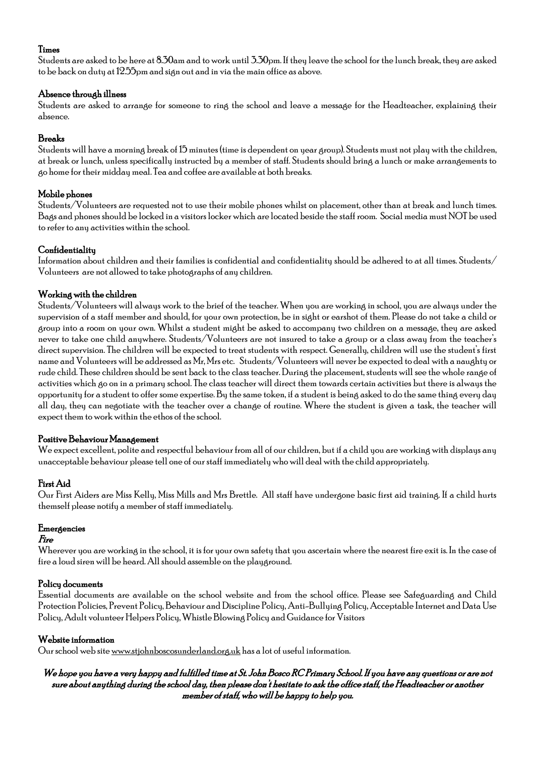## Times

Students are asked to be here at 8.30am and to work until 3.30pm. If they leave the school for the lunch break, they are asked to be back on duty at 12.55pmand sign out and in via the main office as above.

## Absence through illness

Students are asked to arrange for someone to ring the school and leave a message for the Headteacher, explaining their absence.

## Breaks

Students will have a morning break of 15 minutes (time is dependent on year group). Students must not play with the children, at break or lunch, unless specifically instructed by a member of staff. Students should bring a lunch or make arrangements to go home for their midday meal. Tea and coffee are available at both breaks.

## Mobile phones

Students/Volunteers are requested not to use their mobile phones whilst on placement, other than at break and lunch times. Bags and phones should be locked in a visitors locker which are located beside the staff room. Social media must NOT be used to refer to any activities within the school.

## **Confidentiality**

Information about children and their families is confidential and confidentiality should be adhered to at all times. Students/ Volunteers are not allowed to take photographs of any children.

# Working with the children

Students/Volunteers will always work to the brief of the teacher. When you are working in school, you are always under the supervision of a staff member and should, for your own protection, be in sight or earshot of them. Please do not take a child or group into a room on your own. Whilst a student might be asked to accompany two children on a message, they are asked never to take one child anywhere. Students/Volunteers are not insured to take a group or a class away from the teacher's direct supervision. The children will be expected to treat students with respect. Generally, children will use the student's first name and Volunteers will be addressed as Mr, Mrs etc. Students/Volunteers will never be expected to deal with a naughty or rude child. These children should be sent back to the class teacher. During the placement, students will see the whole range of activities which go on in a primary school. The class teacher will direct them towards certain activities but there is always the opportunity for a student to offer some expertise. By the same token, if a student is being asked to do the same thing every day all day, they can negotiate with the teacher over a change of routine. Where the student is given a task, the teacher will expect them to work within the ethos of the school.

## Positive Behaviour Management

We expect excellent, polite and respectful behaviour from all of our children, but if a child you are working with displays any unacceptable behaviour please tell one of our staff immediately who will deal with the child appropriately.

# First Aid

Our First Aiders are Miss Kelly, Miss Mills and Mrs Brettle. All staff have undergone basic first aid training. If a child hurts themself please notify a member of staff immediately.

## Emergencies

## Fire

Wherever you are working in the school, it is for your own safety that you ascertain where the nearest fire exit is. In the case of fire a loud siren will be heard. All should assemble on the playground.

## Policy documents

Essential documents are available on the school website and from the school office. Please see Safeguarding and Child Protection Policies, Prevent Policy, Behaviour and Discipline Policy, Anti-Bullying Policy, Acceptable Internet and Data Use Policy, Adult volunteer Helpers Policy, Whistle Blowing Policy andGuidance for Visitors

## Website information

Our school web sit[e www.stjohnboscosunderland.org.uk](http://www.stjohnboscosunderland.org.uk/) has a lot of useful information.

## We hope you have a very happy and fulfilled time at St. John Bosco RC Primary School. If you have any questions or are not sure about anything during the school day, then please don't hesitate to ask the office staff, the Headteacher or another member of staff, who will be happy to help you.